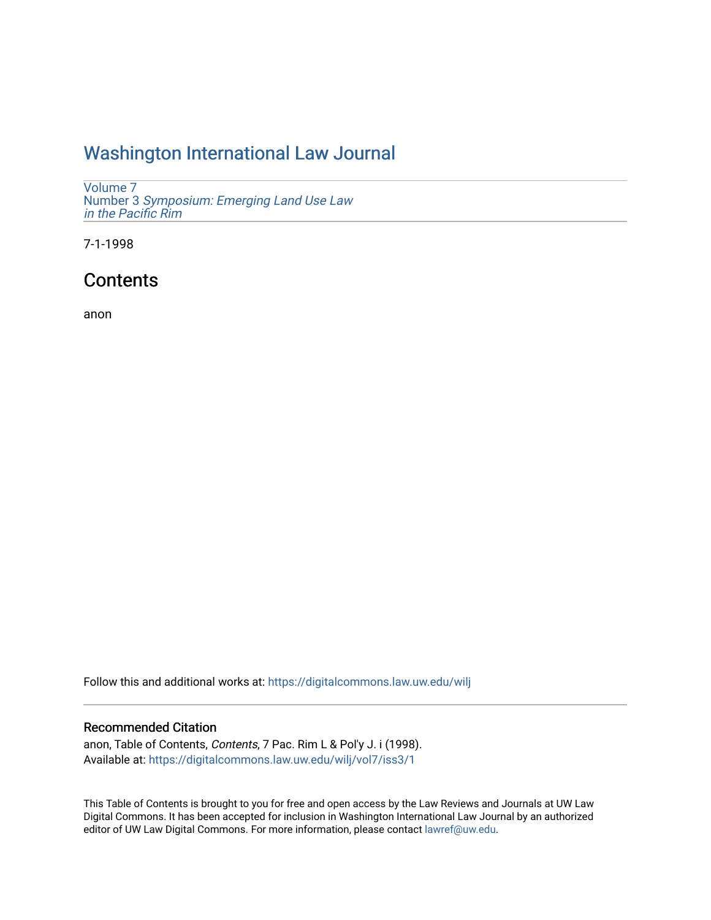# [Washington International Law Journal](https://digitalcommons.law.uw.edu/wilj)

[Volume 7](https://digitalcommons.law.uw.edu/wilj/vol7) Number 3 [Symposium: Emerging Land Use Law](https://digitalcommons.law.uw.edu/wilj/vol7/iss3)  [in the Pacific Rim](https://digitalcommons.law.uw.edu/wilj/vol7/iss3) 

7-1-1998

# **Contents**

anon

Follow this and additional works at: [https://digitalcommons.law.uw.edu/wilj](https://digitalcommons.law.uw.edu/wilj?utm_source=digitalcommons.law.uw.edu%2Fwilj%2Fvol7%2Fiss3%2F1&utm_medium=PDF&utm_campaign=PDFCoverPages) 

### Recommended Citation

anon, Table of Contents, Contents, 7 Pac. Rim L & Pol'y J. i (1998). Available at: [https://digitalcommons.law.uw.edu/wilj/vol7/iss3/1](https://digitalcommons.law.uw.edu/wilj/vol7/iss3/1?utm_source=digitalcommons.law.uw.edu%2Fwilj%2Fvol7%2Fiss3%2F1&utm_medium=PDF&utm_campaign=PDFCoverPages) 

This Table of Contents is brought to you for free and open access by the Law Reviews and Journals at UW Law Digital Commons. It has been accepted for inclusion in Washington International Law Journal by an authorized editor of UW Law Digital Commons. For more information, please contact [lawref@uw.edu](mailto:lawref@uw.edu).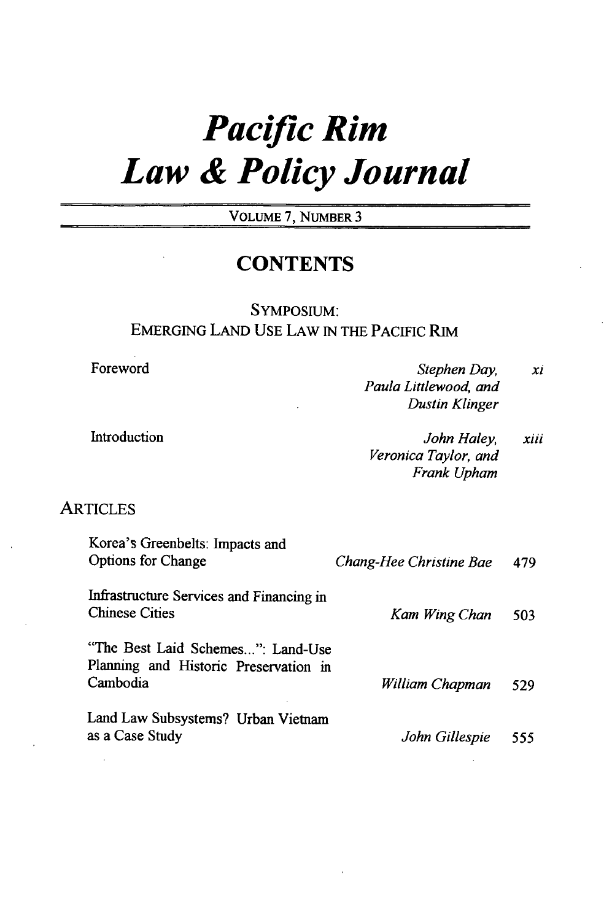# *Pacific Rim Law & Policy Journal*

VOLUME 7, NUMBER 3

## **CONTENTS**

## SYMPOSIUM: **EMERGING LAND USE** LAW IN THE PACIFIC RIM

Foreword

Introduction

*Stephen Day, Paula Littlewood, and Dustin Klinger xi*

*John Haley, Veronica Taylor, and Frank Upham xiii*

### **ARTICLES**

| Korea's Greenbelts: Impacts and<br><b>Options for Change</b>                           | Chang-Hee Christine Bae | 479 |
|----------------------------------------------------------------------------------------|-------------------------|-----|
| Infrastructure Services and Financing in<br><b>Chinese Cities</b>                      | Kam Wing Chan           | 503 |
| "The Best Laid Schemes": Land-Use<br>Planning and Historic Preservation in<br>Cambodia | William Chapman         | 529 |
| Land Law Subsystems? Urban Vietnam<br>as a Case Study                                  | John Gillespie          | 555 |